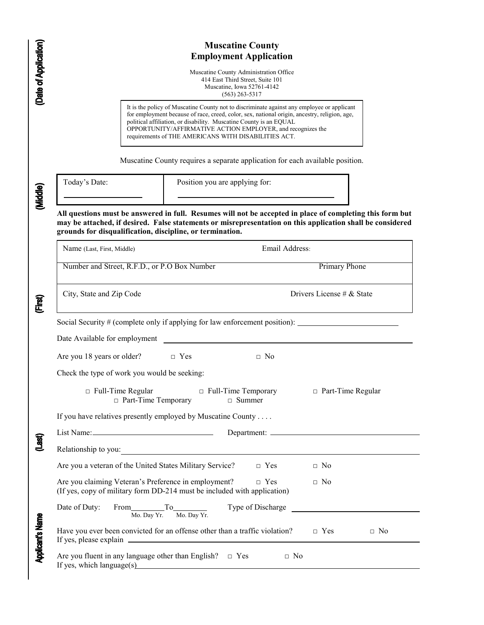|                         | <b>Muscatine County</b><br><b>Employment Application</b><br>Muscatine County Administration Office<br>414 East Third Street, Suite 101<br>Muscatine, Iowa 52761-4142<br>$(563)$ 263-5317                                                                                                                                                                                                |                           |  |  |  |  |  |  |
|-------------------------|-----------------------------------------------------------------------------------------------------------------------------------------------------------------------------------------------------------------------------------------------------------------------------------------------------------------------------------------------------------------------------------------|---------------------------|--|--|--|--|--|--|
| (Date of Application)   |                                                                                                                                                                                                                                                                                                                                                                                         |                           |  |  |  |  |  |  |
|                         | It is the policy of Muscatine County not to discriminate against any employee or applicant<br>for employment because of race, creed, color, sex, national origin, ancestry, religion, age,<br>political affiliation, or disability. Muscatine County is an EQUAL<br>OPPORTUNITY/AFFIRMATIVE ACTION EMPLOYER, and recognizes the<br>requirements of THE AMERICANS WITH DISABILITIES ACT. |                           |  |  |  |  |  |  |
|                         | Muscatine County requires a separate application for each available position.                                                                                                                                                                                                                                                                                                           |                           |  |  |  |  |  |  |
| (Middle)                | Today's Date:<br>Position you are applying for:                                                                                                                                                                                                                                                                                                                                         |                           |  |  |  |  |  |  |
|                         | All questions must be answered in full. Resumes will not be accepted in place of completing this form but<br>may be attached, if desired. False statements or misrepresentation on this application shall be considered<br>grounds for disqualification, discipline, or termination.                                                                                                    |                           |  |  |  |  |  |  |
|                         | Email Address:<br>Name (Last, First, Middle)                                                                                                                                                                                                                                                                                                                                            |                           |  |  |  |  |  |  |
|                         | Number and Street, R.F.D., or P.O Box Number                                                                                                                                                                                                                                                                                                                                            | <b>Primary Phone</b>      |  |  |  |  |  |  |
| (First)                 | City, State and Zip Code                                                                                                                                                                                                                                                                                                                                                                | Drivers License # & State |  |  |  |  |  |  |
|                         | Social Security # (complete only if applying for law enforcement position): _________<br>Date Available for employment                                                                                                                                                                                                                                                                  |                           |  |  |  |  |  |  |
|                         | Are you 18 years or older?<br>$\Box$ Yes<br>$\Box$ No                                                                                                                                                                                                                                                                                                                                   |                           |  |  |  |  |  |  |
|                         | Check the type of work you would be seeking:                                                                                                                                                                                                                                                                                                                                            |                           |  |  |  |  |  |  |
|                         | $\Box$ Full-Time Regular<br>□ Full-Time Temporary<br>□ Part-Time Temporary<br>$\Box$ Summer                                                                                                                                                                                                                                                                                             | $\Box$ Part-Time Regular  |  |  |  |  |  |  |
|                         | If you have relatives presently employed by Muscatine County                                                                                                                                                                                                                                                                                                                            |                           |  |  |  |  |  |  |
|                         |                                                                                                                                                                                                                                                                                                                                                                                         |                           |  |  |  |  |  |  |
| (Last)                  | <u> 1989 - Johann Barn, mars eta bainar eta industrial eta baina eta baina eta baina eta baina eta baina eta bain</u><br>Relationship to you:                                                                                                                                                                                                                                           |                           |  |  |  |  |  |  |
|                         | Are you a veteran of the United States Military Service?<br>$\Box$ Yes                                                                                                                                                                                                                                                                                                                  | $\Box$ No                 |  |  |  |  |  |  |
|                         | Are you claiming Veteran's Preference in employment?<br>$\Box$ Yes<br>(If yes, copy of military form DD-214 must be included with application)                                                                                                                                                                                                                                          | $\Box$ No                 |  |  |  |  |  |  |
|                         | Type of Discharge<br>Date of Duty:<br>From $\frac{1}{\text{Mo. Day Yr.}}$ To $\frac{1}{\text{Mo. Day Yr.}}$                                                                                                                                                                                                                                                                             |                           |  |  |  |  |  |  |
| <b>Applicant's Name</b> | Have you ever been convicted for an offense other than a traffic violation?                                                                                                                                                                                                                                                                                                             | $\Box$ Yes<br>$\Box$ No   |  |  |  |  |  |  |
|                         | Are you fluent in any language other than English? $\Box$ Yes<br>$\Box$ No<br>If yes, which language(s)                                                                                                                                                                                                                                                                                 |                           |  |  |  |  |  |  |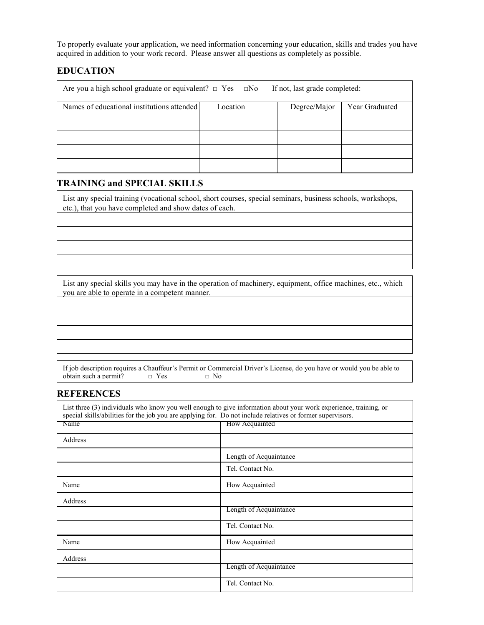To properly evaluate your application, we need information concerning your education, skills and trades you have acquired in addition to your work record. Please answer all questions as completely as possible.

## **EDUCATION**

| Are you a high school graduate or equivalent? $\Box$ Yes $\Box$ No<br>If not, last grade completed: |  |  |  |  |  |
|-----------------------------------------------------------------------------------------------------|--|--|--|--|--|
| Names of educational institutions attended<br>Year Graduated<br>Location<br>Degree/Major            |  |  |  |  |  |
|                                                                                                     |  |  |  |  |  |
|                                                                                                     |  |  |  |  |  |
|                                                                                                     |  |  |  |  |  |
|                                                                                                     |  |  |  |  |  |

## **TRAINING and SPECIAL SKILLS**

List any special training (vocational school, short courses, special seminars, business schools, workshops, etc.), that you have completed and show dates of each.

List any special skills you may have in the operation of machinery, equipment, office machines, etc., which you are able to operate in a competent manner.

If job description requires a Chauffeur's Permit or Commercial Driver's License, do you have or would you be able to obtain such a permit?  $\Box$  Yes  $\Box$  No obtain such a permit?  $\Box$  Yes  $\Box$  No

#### **REFERENCES**

| List three (3) individuals who know you well enough to give information about your work experience, training, or<br>special skills/abilities for the job you are applying for. Do not include relatives or former supervisors. |                        |  |  |  |  |
|--------------------------------------------------------------------------------------------------------------------------------------------------------------------------------------------------------------------------------|------------------------|--|--|--|--|
| How Acquainted<br>Name                                                                                                                                                                                                         |                        |  |  |  |  |
| Address                                                                                                                                                                                                                        |                        |  |  |  |  |
|                                                                                                                                                                                                                                | Length of Acquaintance |  |  |  |  |
|                                                                                                                                                                                                                                | Tel. Contact No.       |  |  |  |  |
| Name                                                                                                                                                                                                                           | How Acquainted         |  |  |  |  |
| Address                                                                                                                                                                                                                        |                        |  |  |  |  |
|                                                                                                                                                                                                                                | Length of Acquaintance |  |  |  |  |
|                                                                                                                                                                                                                                | Tel. Contact No.       |  |  |  |  |
| Name<br>How Acquainted                                                                                                                                                                                                         |                        |  |  |  |  |
| Address                                                                                                                                                                                                                        |                        |  |  |  |  |
|                                                                                                                                                                                                                                | Length of Acquaintance |  |  |  |  |
| Tel. Contact No.                                                                                                                                                                                                               |                        |  |  |  |  |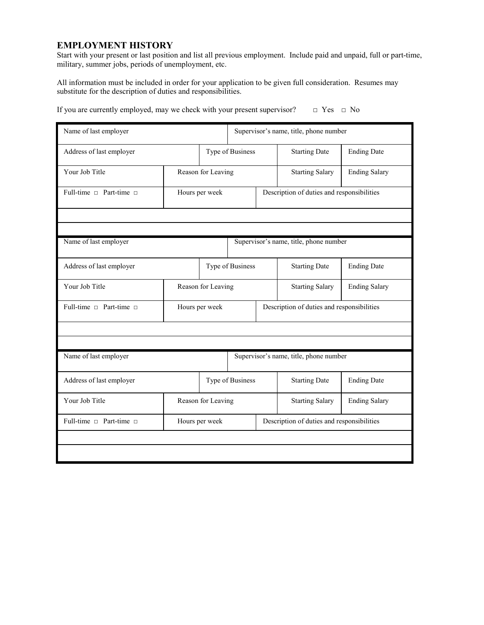#### **EMPLOYMENT HISTORY**

Start with your present or last position and list all previous employment. Include paid and unpaid, full or part-time, military, summer jobs, periods of unemployment, etc.

All information must be included in order for your application to be given full consideration. Resumes may substitute for the description of duties and responsibilities.

| Name of last employer             |                    |                  | Supervisor's name, title, phone number |                                            |                                            |                      |  |
|-----------------------------------|--------------------|------------------|----------------------------------------|--------------------------------------------|--------------------------------------------|----------------------|--|
| Address of last employer          |                    | Type of Business |                                        | <b>Starting Date</b>                       | <b>Ending Date</b>                         |                      |  |
| Your Job Title                    | Reason for Leaving |                  |                                        |                                            | <b>Starting Salary</b>                     | <b>Ending Salary</b> |  |
| Full-time $\Box$ Part-time $\Box$ | Hours per week     |                  |                                        |                                            | Description of duties and responsibilities |                      |  |
|                                   |                    |                  |                                        |                                            |                                            |                      |  |
|                                   |                    |                  |                                        |                                            |                                            |                      |  |
| Name of last employer             |                    |                  | Supervisor's name, title, phone number |                                            |                                            |                      |  |
| Address of last employer          |                    | Type of Business |                                        | <b>Starting Date</b>                       | <b>Ending Date</b>                         |                      |  |
| Your Job Title                    | Reason for Leaving |                  |                                        |                                            | <b>Starting Salary</b>                     | <b>Ending Salary</b> |  |
| Full-time $\Box$ Part-time $\Box$ | Hours per week     |                  |                                        |                                            | Description of duties and responsibilities |                      |  |
|                                   |                    |                  |                                        |                                            |                                            |                      |  |
|                                   |                    |                  |                                        |                                            |                                            |                      |  |
| Name of last employer             |                    |                  | Supervisor's name, title, phone number |                                            |                                            |                      |  |
| Address of last employer          |                    | Type of Business |                                        | <b>Starting Date</b>                       | <b>Ending Date</b>                         |                      |  |
| Your Job Title                    | Reason for Leaving |                  |                                        | <b>Starting Salary</b>                     | <b>Ending Salary</b>                       |                      |  |
| Full-time $\Box$ Part-time $\Box$ | Hours per week     |                  |                                        | Description of duties and responsibilities |                                            |                      |  |
|                                   |                    |                  |                                        |                                            |                                            |                      |  |
|                                   |                    |                  |                                        |                                            |                                            |                      |  |

If you are currently employed, may we check with your present supervisor?  $□$  Yes  $□$  No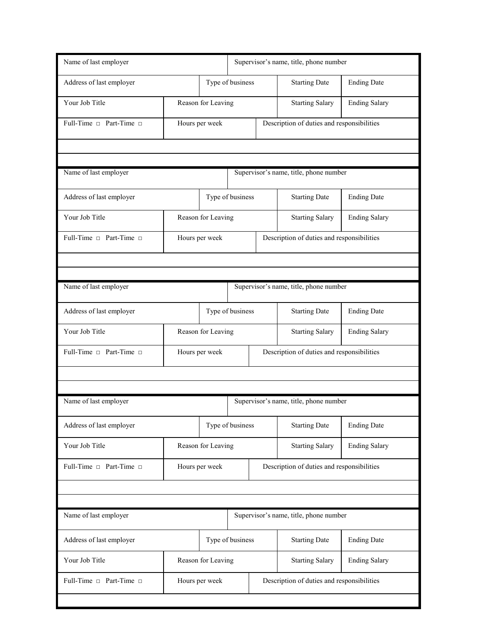| Name of last employer                                           |                    |                | Supervisor's name, title, phone number     |                                            |                                            |                      |  |
|-----------------------------------------------------------------|--------------------|----------------|--------------------------------------------|--------------------------------------------|--------------------------------------------|----------------------|--|
| Address of last employer                                        |                    |                | Type of business                           |                                            | <b>Starting Date</b>                       | <b>Ending Date</b>   |  |
| Your Job Title                                                  | Reason for Leaving |                | <b>Starting Salary</b>                     | <b>Ending Salary</b>                       |                                            |                      |  |
| Full-Time □ Part-Time □                                         | Hours per week     |                |                                            |                                            | Description of duties and responsibilities |                      |  |
|                                                                 |                    |                |                                            |                                            |                                            |                      |  |
|                                                                 |                    |                |                                            |                                            |                                            |                      |  |
| Name of last employer                                           |                    |                | Supervisor's name, title, phone number     |                                            |                                            |                      |  |
| Address of last employer                                        |                    |                | Type of business                           |                                            | <b>Starting Date</b>                       | <b>Ending Date</b>   |  |
| Your Job Title                                                  | Reason for Leaving |                |                                            |                                            | <b>Starting Salary</b>                     | <b>Ending Salary</b> |  |
| Full-Time n Part-Time n                                         |                    | Hours per week |                                            |                                            | Description of duties and responsibilities |                      |  |
|                                                                 |                    |                |                                            |                                            |                                            |                      |  |
|                                                                 |                    |                |                                            |                                            |                                            |                      |  |
| Name of last employer                                           |                    |                |                                            | Supervisor's name, title, phone number     |                                            |                      |  |
| Address of last employer                                        |                    |                | Type of business                           |                                            | <b>Starting Date</b>                       | <b>Ending Date</b>   |  |
| Your Job Title                                                  | Reason for Leaving |                |                                            |                                            | <b>Starting Salary</b>                     | <b>Ending Salary</b> |  |
| Full-Time $\Box$ Part-Time $\Box$                               | Hours per week     |                |                                            |                                            | Description of duties and responsibilities |                      |  |
|                                                                 |                    |                |                                            |                                            |                                            |                      |  |
|                                                                 |                    |                |                                            |                                            |                                            |                      |  |
| Name of last employer                                           |                    |                | Supervisor's name, title, phone number     |                                            |                                            |                      |  |
| Address of last employer                                        |                    |                | Type of business                           |                                            | <b>Starting Date</b>                       | <b>Ending Date</b>   |  |
| Your Job Title                                                  | Reason for Leaving |                | <b>Starting Salary</b>                     | <b>Ending Salary</b>                       |                                            |                      |  |
| Full-Time n Part-Time n                                         | Hours per week     |                |                                            | Description of duties and responsibilities |                                            |                      |  |
|                                                                 |                    |                |                                            |                                            |                                            |                      |  |
|                                                                 |                    |                |                                            |                                            |                                            |                      |  |
| Name of last employer<br>Supervisor's name, title, phone number |                    |                |                                            |                                            |                                            |                      |  |
| Address of last employer                                        | Type of business   |                |                                            | <b>Starting Date</b>                       | <b>Ending Date</b>                         |                      |  |
| Your Job Title                                                  | Reason for Leaving |                |                                            | <b>Starting Salary</b>                     | <b>Ending Salary</b>                       |                      |  |
| Full-Time □ Part-Time □                                         | Hours per week     |                | Description of duties and responsibilities |                                            |                                            |                      |  |
|                                                                 |                    |                |                                            |                                            |                                            |                      |  |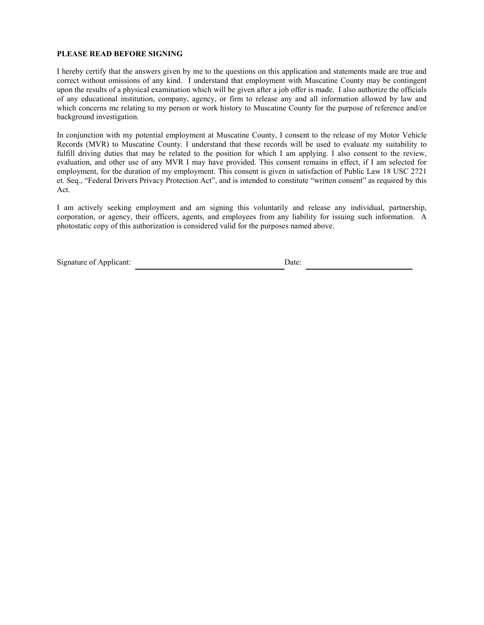#### **PLEASE READ BEFORE SIGNING**

I hereby certify that the answers given by me to the questions on this application and statements made are true and correct without omissions of any kind. I understand that employment with Muscatine County may be contingent upon the results of a physical examination which will be given after a job offer is made. I also authorize the officials of any educational institution, company, agency, or firm to release any and all information allowed by law and which concerns me relating to my person or work history to Muscatine County for the purpose of reference and/or background investigation.

In conjunction with my potential employment at Muscatine County, I consent to the release of my Motor Vehicle Records (MVR) to Muscatine County. I understand that these records will be used to evaluate my suitability to fulfill driving duties that may be related to the position for which I am applying. I also consent to the review, evaluation, and other use of any MVR I may have provided. This consent remains in effect, if I am selected for employment, for the duration of my employment. This consent is given in satisfaction of Public Law 18 USC 2721 et. Seq., "Federal Drivers Privacy Protection Act", and is intended to constitute "written consent" as required by this Act.

I am actively seeking employment and am signing this voluntarily and release any individual, partnership, corporation, or agency, their officers, agents, and employees from any liability for issuing such information. A photostatic copy of this authorization is considered valid for the purposes named above.

| Signature of Applicant: | Date: |
|-------------------------|-------|